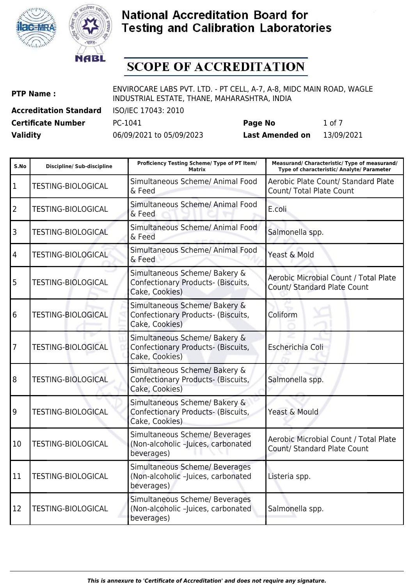



## **SCOPE OF ACCREDITATION**

| <b>PTP Name:</b>              | ENVIROCARE LABS PVT. LTD. - PT CELL, A-7, A-8, MIDC MAIN ROAD, WAGLE<br>INDUSTRIAL ESTATE, THANE, MAHARASHTRA, INDIA |
|-------------------------------|----------------------------------------------------------------------------------------------------------------------|
| <b>Accreditation Standard</b> | ISO/IEC 17043: 2010                                                                                                  |

**Certificate Number** PC-1041 **Page No** 1 of 7

| S.No            | <b>Discipline/ Sub-discipline</b> | Proficiency Testing Scheme/ Type of PT Item/<br><b>Matrix</b>                         | Measurand/ Characteristic/ Type of measurand/<br>Type of characteristic/ Analyte/ Parameter |
|-----------------|-----------------------------------|---------------------------------------------------------------------------------------|---------------------------------------------------------------------------------------------|
| 1               | <b>TESTING-BIOLOGICAL</b>         | Simultaneous Scheme/ Animal Food<br>& Feed                                            | Aerobic Plate Count/ Standard Plate<br>Count/ Total Plate Count                             |
| 2               | <b>TESTING-BIOLOGICAL</b>         | Simultaneous Scheme/ Animal Food<br>& Feed                                            | E.coli                                                                                      |
| 3               | <b>TESTING-BIOLOGICAL</b>         | Simultaneous Scheme/ Animal Food<br>& Feed                                            | Salmonella spp.                                                                             |
| $\overline{4}$  | <b>TESTING-BIOLOGICAL</b>         | Simultaneous Scheme/ Animal Food<br>& Feed                                            | Yeast & Mold                                                                                |
| 5               | <b>TESTING-BIOLOGICAL</b>         | Simultaneous Scheme/ Bakery &<br>Confectionary Products- (Biscuits,<br>Cake, Cookies) | Aerobic Microbial Count / Total Plate<br>Count/ Standard Plate Count                        |
| $6\overline{6}$ | <b>TESTING-BIOLOGICAL</b>         | Simultaneous Scheme/ Bakery &<br>Confectionary Products- (Biscuits,<br>Cake, Cookies) | Coliform                                                                                    |
| 7               | <b>TESTING-BIOLOGICAL</b>         | Simultaneous Scheme/ Bakery &<br>Confectionary Products- (Biscuits,<br>Cake, Cookies) | Escherichia Coli                                                                            |
| 8               | <b>TESTING-BIOLOGICAL</b>         | Simultaneous Scheme/ Bakery &<br>Confectionary Products- (Biscuits,<br>Cake, Cookies) | Salmonella spp.                                                                             |
| 19              | <b>TESTING-BIOLOGICAL</b>         | Simultaneous Scheme/ Bakery &<br>Confectionary Products- (Biscuits,<br>Cake, Cookies) | Yeast & Mould                                                                               |
| 10              | <b>TESTING-BIOLOGICAL</b>         | Simultaneous Scheme/ Beverages<br>(Non-alcoholic -Juices, carbonated<br>beverages)    | Aerobic Microbial Count / Total Plate<br><b>Count/ Standard Plate Count</b>                 |
| 11              | <b>TESTING-BIOLOGICAL</b>         | Simultaneous Scheme/ Beverages<br>(Non-alcoholic -Juices, carbonated<br>beverages)    | Listeria spp.                                                                               |
| 12              | <b>TESTING-BIOLOGICAL</b>         | Simultaneous Scheme/ Beverages<br>(Non-alcoholic -Juices, carbonated<br>beverages)    | Salmonella spp.                                                                             |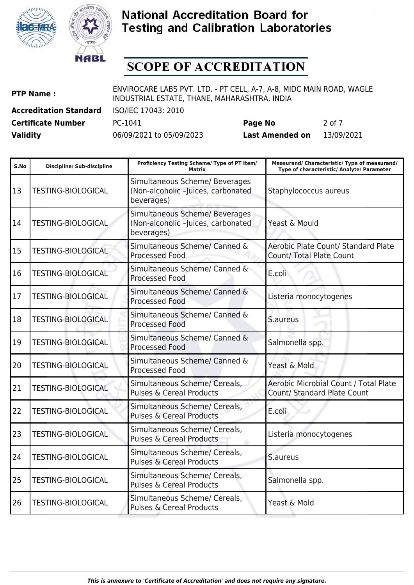



# **SCOPE OF ACCREDITATION**

| <b>PTP Name:</b>              | ENVIROCARE LABS PVT. LTD. - PT CELL, A-7, A-8, MIDC MAIN ROAD, WAGLE<br>INDUSTRIAL ESTATE, THANE, MAHARASHTRA, INDIA |                        |            |
|-------------------------------|----------------------------------------------------------------------------------------------------------------------|------------------------|------------|
| <b>Accreditation Standard</b> | ISO/IEC 17043: 2010                                                                                                  |                        |            |
| <b>Certificate Number</b>     | PC-1041                                                                                                              | Page No                | 2 of 7     |
| <b>Validity</b>               | 06/09/2021 to 05/09/2023                                                                                             | <b>Last Amended on</b> | 13/09/2021 |

| S.No | <b>Discipline/ Sub-discipline</b> | Proficiency Testing Scheme/ Type of PT Item/<br>Matrix                             | Measurand/ Characteristic/ Type of measurand/<br>Type of characteristic/ Analyte/ Parameter |
|------|-----------------------------------|------------------------------------------------------------------------------------|---------------------------------------------------------------------------------------------|
| 13   | <b>TESTING-BIOLOGICAL</b>         | Simultaneous Scheme/ Beverages<br>(Non-alcoholic -Juices, carbonated<br>beverages) | Staphylococcus aureus                                                                       |
| 14   | TESTING-BIOLOGICAL                | Simultaneous Scheme/ Beverages<br>(Non-alcoholic -Juices, carbonated<br>beverages) | Yeast & Mould                                                                               |
| 15   | <b>TESTING-BIOLOGICAL</b>         | Simultaneous Scheme/ Canned &<br><b>Processed Food</b>                             | Aerobic Plate Count/ Standard Plate<br>Count/ Total Plate Count                             |
| 16   | <b>TESTING-BIOLOGICAL</b>         | Simultaneous Scheme/ Canned &<br><b>Processed Food</b>                             | E.coli                                                                                      |
| 17   | <b>TESTING-BIOLOGICAL</b>         | Simultaneous Scheme/ Canned &<br><b>Processed Food</b>                             | Listeria monocytogenes                                                                      |
| 18   | <b>TESTING-BIOLOGICAL</b>         | Simultaneous Scheme/ Canned &<br><b>Processed Food</b>                             | S.aureus                                                                                    |
| 19   | <b>TESTING-BIOLOGICAL</b>         | Simultaneous Scheme/ Canned &<br><b>Processed Food</b>                             | Salmonella spp.                                                                             |
| 20   | <b>TESTING-BIOLOGICAL</b>         | Simultaneous Scheme/ Canned &<br><b>Processed Food</b>                             | Yeast & Mold                                                                                |
| 21   | <b>TESTING-BIOLOGICAL</b>         | Simultaneous Scheme/ Cereals,<br><b>Pulses &amp; Cereal Products</b>               | Aerobic Microbial Count / Total Plate<br>Count/ Standard Plate Count                        |
| 22   | <b>TESTING-BIOLOGICAL</b>         | Simultaneous Scheme/ Cereals,<br><b>Pulses &amp; Cereal Products</b>               | E.coli                                                                                      |
| 23   | <b>TESTING-BIOLOGICAL</b>         | Simultaneous Scheme/ Cereals,<br><b>Pulses &amp; Cereal Products</b>               | Listeria monocytogenes                                                                      |
| 24   | <b>TESTING-BIOLOGICAL</b>         | Simultaneous Scheme/ Cereals,<br><b>Pulses &amp; Cereal Products</b>               | S.aureus                                                                                    |
| 25   | <b>TESTING-BIOLOGICAL</b>         | Simultaneous Scheme/ Cereals,<br><b>Pulses &amp; Cereal Products</b>               | Salmonella spp.                                                                             |
| 26   | <b>TESTING-BIOLOGICAL</b>         | Simultaneous Scheme/ Cereals,<br><b>Pulses &amp; Cereal Products</b>               | Yeast & Mold                                                                                |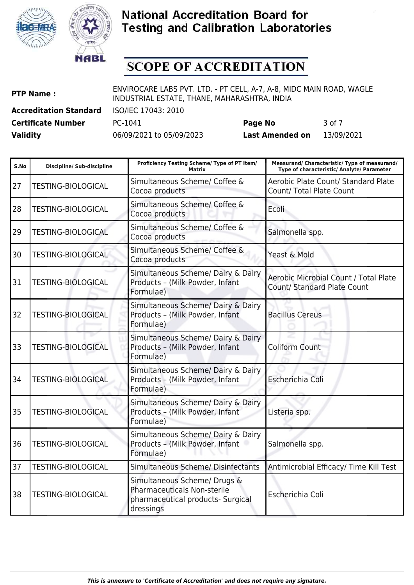



## **SCOPE OF ACCREDITATION**

| <b>PTP Name:</b>              | ENVIROCARE LABS PVT. LTD. - PT CELL, A-7, A-8, MIDC MAIN ROAD, WAGLE<br>INDUSTRIAL ESTATE, THANE, MAHARASHTRA, INDIA |         |        |
|-------------------------------|----------------------------------------------------------------------------------------------------------------------|---------|--------|
| <b>Accreditation Standard</b> | ISO/IEC 17043: 2010                                                                                                  |         |        |
| Certificate Number            | PC-1041                                                                                                              | Page No | 3 of 7 |

| S.No | <b>Discipline/ Sub-discipline</b> | Proficiency Testing Scheme/ Type of PT Item/<br><b>Matrix</b>                                                        | Measurand/ Characteristic/ Type of measurand/<br>Type of characteristic/ Analyte/ Parameter |
|------|-----------------------------------|----------------------------------------------------------------------------------------------------------------------|---------------------------------------------------------------------------------------------|
| 27   | <b>TESTING-BIOLOGICAL</b>         | Simultaneous Scheme/ Coffee &<br>Cocoa products                                                                      | Aerobic Plate Count/ Standard Plate<br><b>Count/ Total Plate Count</b>                      |
| 28   | <b>TESTING-BIOLOGICAL</b>         | Simultaneous Scheme/ Coffee &<br>Cocoa products                                                                      | Ecoli                                                                                       |
| 29   | <b>TESTING-BIOLOGICAL</b>         | Simultaneous Scheme/ Coffee &<br>Cocoa products                                                                      | Salmonella spp.                                                                             |
| 30   | <b>TESTING-BIOLOGICAL</b>         | Simultaneous Scheme/ Coffee &<br>Cocoa products                                                                      | Yeast & Mold                                                                                |
| 31   | <b>TESTING-BIOLOGICAL</b>         | Simultaneous Scheme/ Dairy & Dairy<br>Products - (Milk Powder, Infant<br>Formulae)                                   | <b>Aerobic Microbial Count / Total Plate</b><br>Count/ Standard Plate Count                 |
| 32   | <b>TESTING-BIOLOGICAL</b>         | Simultaneous Scheme/ Dairy & Dairy<br>Products - (Milk Powder, Infant<br>Formulae)                                   | <b>Bacillus Cereus</b>                                                                      |
| 33   | <b>TESTING-BIOLOGICAL</b>         | Simultaneous Scheme/ Dairy & Dairy<br>Products - (Milk Powder, Infant<br>Formulae)                                   | <b>Coliform Count</b>                                                                       |
| 34   | <b>TESTING-BIOLOGICAL</b>         | Simultaneous Scheme/ Dairy & Dairy<br>Products - (Milk Powder, Infant<br>Formulae)                                   | Escherichia Coli                                                                            |
| 35   | <b>TESTING-BIOLOGICAL</b>         | Simultaneous Scheme/ Dairy & Dairy<br>Products - (Milk Powder, Infant<br>Formulae)                                   | Listeria spp.                                                                               |
| 36   | <b>TESTING-BIOLOGICAL</b>         | Simultaneous Scheme/ Dairy & Dairy<br>Products - (Milk Powder, Infant<br>Formulae)                                   | Salmonella spp.                                                                             |
| 37   | <b>TESTING-BIOLOGICAL</b>         | Simultaneous Scheme/ Disinfectants                                                                                   | Antimicrobial Efficacy/ Time Kill Test                                                      |
| 38   | <b>TESTING-BIOLOGICAL</b>         | Simultaneous Scheme/ Drugs &<br><b>Pharmaceuticals Non-sterile</b><br>pharmaceutical products- Surgical<br>dressings | Escherichia Coli                                                                            |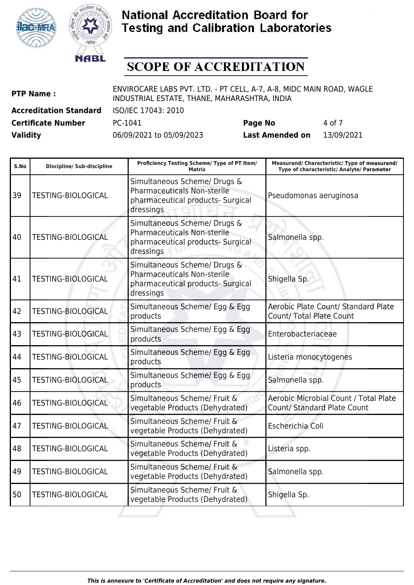



# **SCOPE OF ACCREDITATION**

| <b>PTP Name:</b>              | ENVIROCARE LABS PVT. LTD. - PT CELL, A-7, A-8, MIDC MAIN ROAD, WAGLE<br>INDUSTRIAL ESTATE, THANE, MAHARASHTRA, INDIA |                        |            |
|-------------------------------|----------------------------------------------------------------------------------------------------------------------|------------------------|------------|
| <b>Accreditation Standard</b> | ISO/IEC 17043: 2010                                                                                                  |                        |            |
| <b>Certificate Number</b>     | PC-1041                                                                                                              | Page No                | 4 of 7     |
| <b>Validity</b>               | 06/09/2021 to 05/09/2023                                                                                             | <b>Last Amended on</b> | 13/09/2021 |

| S.No | <b>Discipline/ Sub-discipline</b> | Proficiency Testing Scheme/ Type of PT Item/<br>Matrix                                                               | Measurand/ Characteristic/ Type of measurand/<br>Type of characteristic/ Analyte/ Parameter |
|------|-----------------------------------|----------------------------------------------------------------------------------------------------------------------|---------------------------------------------------------------------------------------------|
| 39   | <b>TESTING-BIOLOGICAL</b>         | Simultaneous Scheme/ Drugs &<br>Pharmaceuticals Non-sterile<br>pharmaceutical products- Surgical<br>dressings        | Pseudomonas aeruginosa                                                                      |
| 40   | <b>TESTING-BIOLOGICAL</b>         | Simultaneous Scheme/ Drugs &<br>Pharmaceuticals Non-sterile<br>pharmaceutical products- Surgical<br>dressings        | Salmonella spp.                                                                             |
| 41   | <b>TESTING-BIOLOGICAL</b>         | Simultaneous Scheme/ Drugs &<br><b>Pharmaceuticals Non-sterile</b><br>pharmaceutical products- Surgical<br>dressings | Shigella Sp.                                                                                |
| 42   | <b>TESTING-BIOLOGICAL</b>         | Simultaneous Scheme/ Egg & Egg<br>products                                                                           | Aerobic Plate Count/ Standard Plate<br>Count/ Total Plate Count                             |
| 43   | <b>TESTING-BIOLOGICAL</b>         | Simultaneous Scheme/ Egg & Egg<br>products                                                                           | Enterobacteriaceae                                                                          |
| 44   | <b>TESTING-BIOLOGICAL</b>         | Simultaneous Scheme/ Egg & Egg<br>products                                                                           | Listeria monocytogenes                                                                      |
| 45   | <b>TESTING-BIOLOGICAL</b>         | Simultaneous Scheme/ Egg & Egg<br>products                                                                           | Salmonella spp.                                                                             |
| 46   | <b>TESTING-BIOLOGICAL</b>         | Simultaneous Scheme/ Fruit &<br>vegetable Products (Dehydrated)                                                      | Aerobic Microbial Count / Total Plate<br><b>Count/ Standard Plate Count</b>                 |
| 47   | <b>TESTING-BIOLOGICAL</b>         | Simultaneous Scheme/ Fruit &<br>vegetable Products (Dehydrated)                                                      | Escherichia Coli                                                                            |
| 48   | <b>TESTING-BIOLOGICAL</b>         | Simultaneous Scheme/ Fruit &<br>vegetable Products (Dehydrated)                                                      | Listeria spp.                                                                               |
| 49   | <b>TESTING-BIOLOGICAL</b>         | Simultaneous Scheme/ Fruit &<br>vegetable Products (Dehydrated)                                                      | Salmonella spp.                                                                             |
| 50   | <b>TESTING-BIOLOGICAL</b>         | Simultaneous Scheme/ Fruit &<br>vegetable Products (Dehydrated)                                                      | Shigella Sp.                                                                                |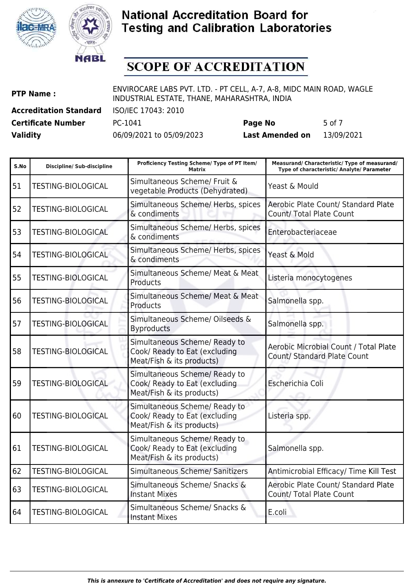



## **SCOPE OF ACCREDITATION**

| <b>PTP Name:</b>              | ENVIROCARE LABS PVT. LTD. - PT CELL, A-7, A-8, MIDC MAIN ROAD, WAGLE<br>INDUSTRIAL ESTATE, THANE, MAHARASHTRA, INDIA |         |        |
|-------------------------------|----------------------------------------------------------------------------------------------------------------------|---------|--------|
| <b>Accreditation Standard</b> | ISO/IEC 17043: 2010                                                                                                  |         |        |
| <b>Certificate Number</b>     | PC-1041                                                                                                              | Page No | 5 of 7 |

| S.No | <b>Discipline/ Sub-discipline</b> | Proficiency Testing Scheme/ Type of PT Item/<br><b>Matrix</b>                               | Measurand/ Characteristic/ Type of measurand/<br>Type of characteristic/ Analyte/ Parameter |
|------|-----------------------------------|---------------------------------------------------------------------------------------------|---------------------------------------------------------------------------------------------|
| 51   | <b>TESTING-BIOLOGICAL</b>         | Simultaneous Scheme/ Fruit &<br>vegetable Products (Dehydrated)                             | Yeast & Mould                                                                               |
| 52   | <b>TESTING-BIOLOGICAL</b>         | Simultaneous Scheme/ Herbs, spices<br>& condiments                                          | Aerobic Plate Count/ Standard Plate<br>Count/ Total Plate Count                             |
| 53   | <b>TESTING-BIOLOGICAL</b>         | Simultaneous Scheme/ Herbs, spices<br>& condiments                                          | Enterobacteriaceae                                                                          |
| 54   | <b>TESTING-BIOLOGICAL</b>         | Simultaneous Scheme/ Herbs, spices<br>& condiments                                          | Yeast & Mold                                                                                |
| 55   | <b>TESTING-BIOLOGICAL</b>         | Simultaneous Scheme/ Meat & Meat<br>Products                                                | Listeria monocytogenes                                                                      |
| 56   | <b>TESTING-BIOLOGICAL</b>         | Simultaneous Scheme/ Meat & Meat<br>Products                                                | Salmonella spp.                                                                             |
| 57   | <b>TESTING-BIOLOGICAL</b>         | Simultaneous Scheme/ Oilseeds &<br><b>Byproducts</b>                                        | Salmonella spp.                                                                             |
| 58   | <b>TESTING-BIOLOGICAL</b>         | Simultaneous Scheme/ Ready to<br>Cook/ Ready to Eat (excluding<br>Meat/Fish & its products) | Aerobic Microbial Count / Total Plate<br><b>Count/ Standard Plate Count</b>                 |
| 59   | <b>TESTING-BIOLOGICAL</b>         | Simultaneous Scheme/ Ready to<br>Cook/ Ready to Eat (excluding<br>Meat/Fish & its products) | Escherichia Coli                                                                            |
| 60   | <b>TESTING-BIOLOGICAL</b>         | Simultaneous Scheme/ Ready to<br>Cook/ Ready to Eat (excluding<br>Meat/Fish & its products) | Listeria spp.                                                                               |
| 61   | <b>TESTING-BIOLOGICAL</b>         | Simultaneous Scheme/ Ready to<br>Cook/ Ready to Eat (excluding<br>Meat/Fish & its products) | Salmonella spp.                                                                             |
| 62   | <b>TESTING-BIOLOGICAL</b>         | Simultaneous Scheme/ Sanitizers                                                             | Antimicrobial Efficacy/ Time Kill Test                                                      |
| 63   | <b>TESTING-BIOLOGICAL</b>         | Simultaneous Scheme/ Snacks &<br><b>Instant Mixes</b>                                       | Aerobic Plate Count/ Standard Plate<br><b>Count/ Total Plate Count</b>                      |
| 64   | <b>TESTING-BIOLOGICAL</b>         | Simultaneous Scheme/ Snacks &<br><b>Instant Mixes</b>                                       | E.coli                                                                                      |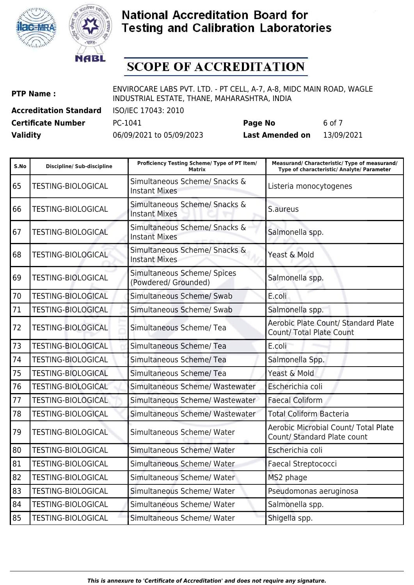



## **SCOPE OF ACCREDITATION**

| <b>PTP Name:</b>              | ENVIROCARE LABS PVT. LTD. - PT CELL, A-7, A-8, MIDC MAIN ROAD, WAGLE<br>INDUSTRIAL ESTATE, THANE, MAHARASHTRA, INDIA |         |        |
|-------------------------------|----------------------------------------------------------------------------------------------------------------------|---------|--------|
| <b>Accreditation Standard</b> | ISO/IEC 17043: 2010                                                                                                  |         |        |
| <b>Certificate Number</b>     | PC-1041                                                                                                              | Page No | 6 of 7 |

| S.No | <b>Discipline/ Sub-discipline</b> | Proficiency Testing Scheme/ Type of PT Item/<br><b>Matrix</b> | Measurand/ Characteristic/ Type of measurand/<br>Type of characteristic/ Analyte/ Parameter |
|------|-----------------------------------|---------------------------------------------------------------|---------------------------------------------------------------------------------------------|
| 65   | <b>TESTING-BIOLOGICAL</b>         | Simultaneous Scheme/ Snacks &<br><b>Instant Mixes</b>         | Listeria monocytogenes                                                                      |
| 66   | <b>TESTING-BIOLOGICAL</b>         | Simultaneous Scheme/ Snacks &<br><b>Instant Mixes</b>         | S.aureus                                                                                    |
| 67   | <b>TESTING-BIOLOGICAL</b>         | Simultaneous Scheme/ Snacks &<br><b>Instant Mixes</b>         | Salmonella spp.                                                                             |
| 68   | <b>TESTING-BIOLOGICAL</b>         | Simultaneous Scheme/ Snacks &<br><b>Instant Mixes</b>         | Yeast & Mold                                                                                |
| 69   | <b>TESTING-BIOLOGICAL</b>         | Simultaneous Scheme/ Spices<br>(Powdered/ Grounded)           | Salmonella spp.                                                                             |
| 70   | <b>TESTING-BIOLOGICAL</b>         | Simultaneous Scheme/ Swab                                     | E.coli                                                                                      |
| 71   | <b>TESTING-BIOLOGICAL</b>         | Simultaneous Scheme/ Swab                                     | Salmonella spp.                                                                             |
| 72   | <b>TESTING-BIOLOGICAL</b>         | Simultaneous Scheme/Tea                                       | Aerobic Plate Count/ Standard Plate<br>Count/ Total Plate Count                             |
| 73   | <b>TESTING-BIOLOGICAL</b>         | Simultaneous Scheme/Tea                                       | E.coli                                                                                      |
| 74   | <b>TESTING-BIOLOGICAL</b>         | Simultaneous Scheme/ Tea                                      | Salmonella Spp.                                                                             |
| 75   | <b>TESTING-BIOLOGICAL</b>         | Simultaneous Scheme/Tea                                       | Yeast & Mold                                                                                |
| 76   | <b>TESTING-BIOLOGICAL</b>         | Simultaneous Scheme/ Wastewater                               | Escherichia coli                                                                            |
| 77   | <b>TESTING-BIOLOGICAL</b>         | Simultaneous Scheme/ Wastewater                               | <b>Faecal Coliform</b>                                                                      |
| 78   | <b>TESTING-BIOLOGICAL</b>         | Simultaneous Scheme/ Wastewater                               | <b>Total Coliform Bacteria</b>                                                              |
| 79   | <b>TESTING-BIOLOGICAL</b>         | Simultaneous Scheme/ Water                                    | <b>Aerobic Microbial Count/ Total Plate</b><br>Count/ Standard Plate count                  |
| 80   | <b>TESTING-BIOLOGICAL</b>         | Simultaneous Scheme/ Water                                    | Escherichia coli                                                                            |
| 81   | <b>TESTING-BIOLOGICAL</b>         | Simultaneous Scheme/ Water                                    | Faecal Streptococci                                                                         |
| 82   | <b>TESTING-BIOLOGICAL</b>         | Simultaneous Scheme/ Water                                    | MS2 phage                                                                                   |
| 83   | <b>TESTING-BIOLOGICAL</b>         | Simultaneous Scheme/ Water                                    | Pseudomonas aeruginosa                                                                      |
| 84   | TESTING-BIOLOGICAL                | Simultaneous Scheme/ Water                                    | Salmonella spp.                                                                             |
| 85   | <b>TESTING-BIOLOGICAL</b>         | Simultaneous Scheme/ Water                                    | Shigella spp.                                                                               |